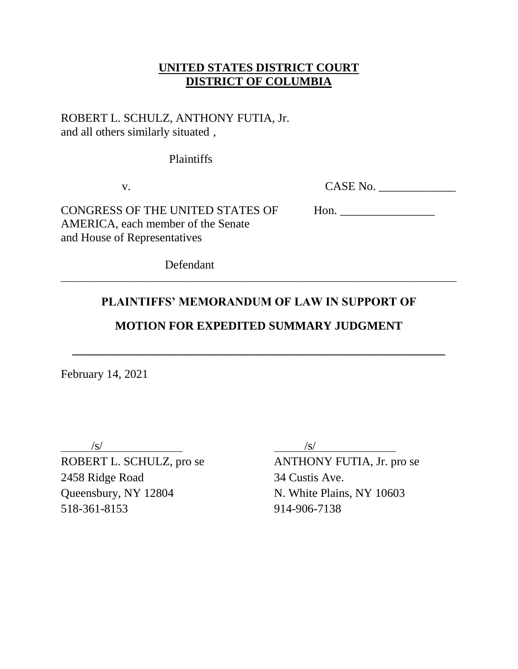### **UNITED STATES DISTRICT COURT DISTRICT OF COLUMBIA**

### ROBERT L. SCHULZ, ANTHONY FUTIA, Jr. and all others similarly situated ,

Plaintiffs

| CASE No.<br>v. |
|----------------|
|                |

CONGRESS OF THE UNITED STATES OF Hon. AMERICA, each member of the Senate and House of Representatives

Defendant

# **PLAINTIFFS' MEMORANDUM OF LAW IN SUPPORT OF**

\_\_\_\_\_\_\_\_\_\_\_\_\_\_\_\_\_\_\_\_\_\_\_\_\_\_\_\_\_\_\_\_\_\_\_\_\_\_\_\_\_\_\_\_\_\_\_\_\_\_\_\_\_\_\_\_\_\_\_\_\_\_\_\_\_\_\_\_\_\_\_\_\_\_\_\_\_\_

## **MOTION FOR EXPEDITED SUMMARY JUDGMENT**

**\_\_\_\_\_\_\_\_\_\_\_\_\_\_\_\_\_\_\_\_\_\_\_\_\_\_\_\_\_\_\_\_\_\_\_\_\_\_\_\_\_\_\_\_\_\_\_\_\_\_\_\_\_\_\_\_\_\_\_\_\_\_\_**

February 14, 2021

2458 Ridge Road 34 Custis Ave. Queensbury, NY 12804 N. White Plains, NY 10603 518-361-8153 914-906-7138

 $\sqrt{s/}$  /s/

ROBERT L. SCHULZ, pro se ANTHONY FUTIA, Jr. pro se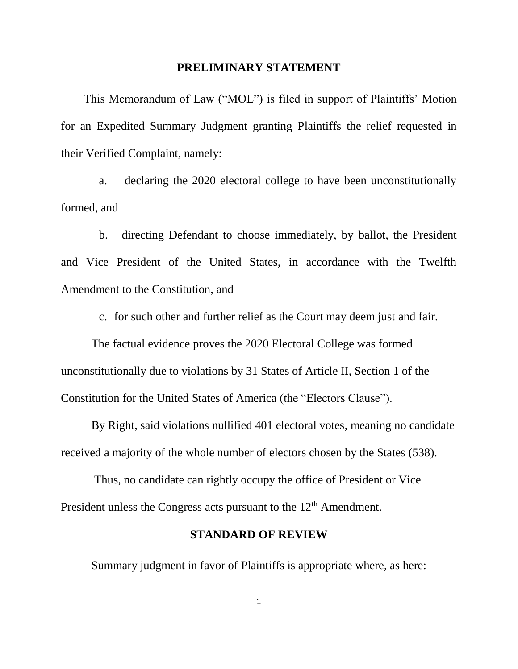#### **PRELIMINARY STATEMENT**

This Memorandum of Law ("MOL") is filed in support of Plaintiffs' Motion for an Expedited Summary Judgment granting Plaintiffs the relief requested in their Verified Complaint, namely:

a. declaring the 2020 electoral college to have been unconstitutionally formed, and

b. directing Defendant to choose immediately, by ballot, the President and Vice President of the United States, in accordance with the Twelfth Amendment to the Constitution, and

c. for such other and further relief as the Court may deem just and fair.

The factual evidence proves the 2020 Electoral College was formed unconstitutionally due to violations by 31 States of Article II, Section 1 of the Constitution for the United States of America (the "Electors Clause").

By Right, said violations nullified 401 electoral votes, meaning no candidate received a majority of the whole number of electors chosen by the States (538).

Thus, no candidate can rightly occupy the office of President or Vice President unless the Congress acts pursuant to the  $12<sup>th</sup>$  Amendment.

### **STANDARD OF REVIEW**

Summary judgment in favor of Plaintiffs is appropriate where, as here:

1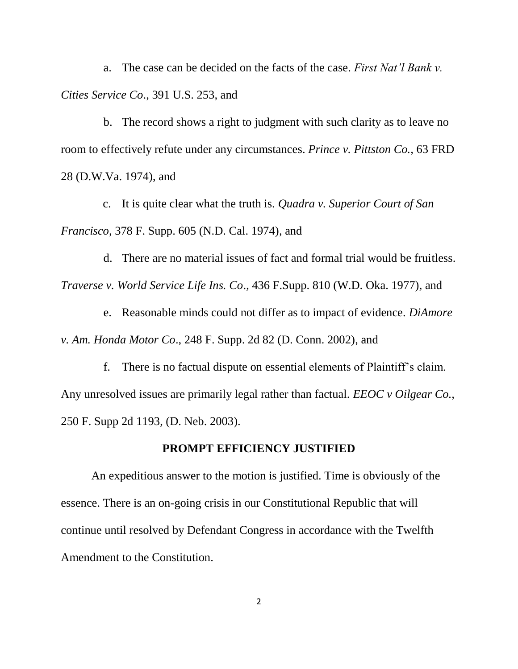a. The case can be decided on the facts of the case. *First Nat'l Bank v. Cities Service Co*., 391 U.S. 253, and

b. The record shows a right to judgment with such clarity as to leave no room to effectively refute under any circumstances. *Prince v. Pittston Co.,* 63 FRD 28 (D.W.Va. 1974), and

c. It is quite clear what the truth is. *Quadra v. Superior Court of San Francisco*, 378 F. Supp. 605 (N.D. Cal. 1974), and

d. There are no material issues of fact and formal trial would be fruitless. *Traverse v. World Service Life Ins. Co*., 436 F.Supp. 810 (W.D. Oka. 1977), and

e. Reasonable minds could not differ as to impact of evidence. *DiAmore v. Am. Honda Motor Co*., 248 F. Supp. 2d 82 (D. Conn. 2002), and

f. There is no factual dispute on essential elements of Plaintiff's claim. Any unresolved issues are primarily legal rather than factual. *EEOC v Oilgear Co.,* 250 F. Supp 2d 1193, (D. Neb. 2003).

### **PROMPT EFFICIENCY JUSTIFIED**

An expeditious answer to the motion is justified. Time is obviously of the essence. There is an on-going crisis in our Constitutional Republic that will continue until resolved by Defendant Congress in accordance with the Twelfth Amendment to the Constitution.